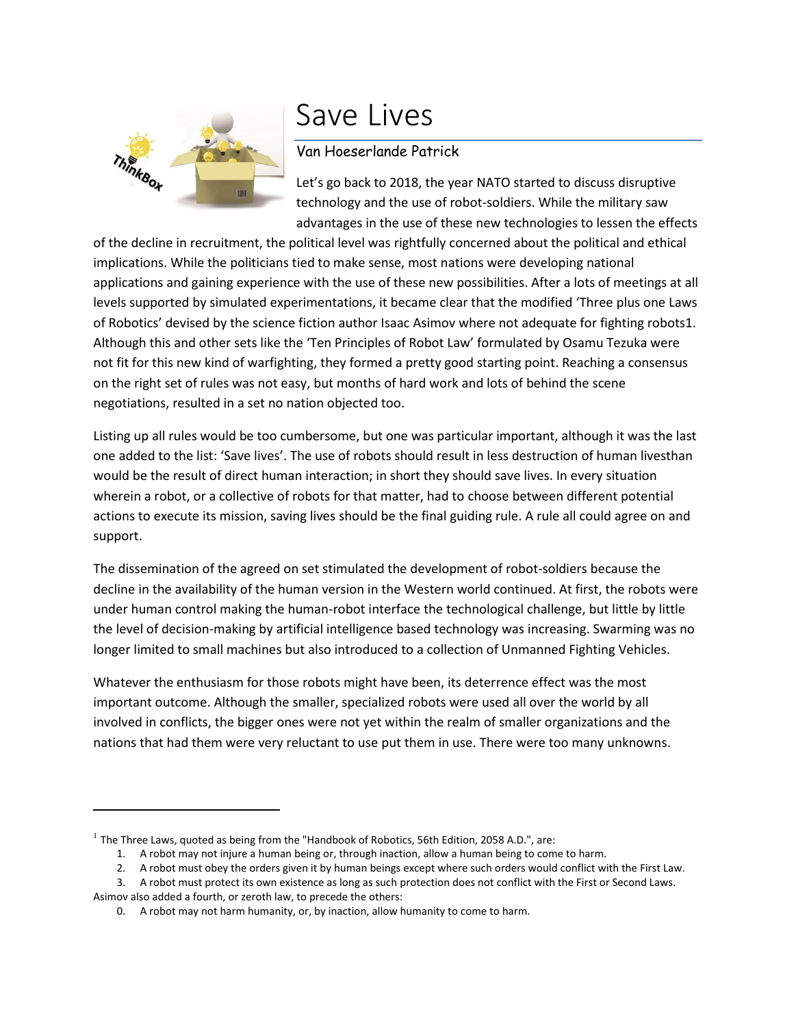

## Save Lives

## Van Hoeserlande Patrick

Let's go back to 2018, the year NATO started to discuss disruptive technology and the use of robot-soldiers. While the military saw advantages in the use of these new technologies to lessen the effects

of the decline in recruitment, the political level was rightfully concerned about the political and ethical implications. While the politicians tied to make sense, most nations were developing national applications and gaining experience with the use of these new possibilities. After a lots of meetings at all levels supported by simulated experimentations, it became clear that the modified 'Three plus one Laws of Robotics' devised by the science fiction author Isaac Asimov where not adequate for fighting robots1. Although this and other sets like the 'Ten Principles of Robot Law' formulated by Osamu Tezuka were not fit for this new kind of warfighting, they formed a pretty good starting point. Reaching a consensus on the right set of rules was not easy, but months of hard work and lots of behind the scene negotiations, resulted in a set no nation objected too.

Listing up all rules would be too cumbersome, but one was particular important, although it was the last one added to the list: 'Save lives'. The use of robots should result in less destruction of human livesthan would be the result of direct human interaction; in short they should save lives. In every situation wherein a robot, or a collective of robots for that matter, had to choose between different potential actions to execute its mission, saving lives should be the final guiding rule. A rule all could agree on and support.

The dissemination of the agreed on set stimulated the development of robot-soldiers because the decline in the availability of the human version in the Western world continued. At first, the robots were under human control making the human-robot interface the technological challenge, but little by little the level of decision-making by artificial intelligence based technology was increasing. Swarming was no longer limited to small machines but also introduced to a collection of Unmanned Fighting Vehicles.

Whatever the enthusiasm for those robots might have been, its deterrence effect was the most important outcome. Although the smaller, specialized robots were used all over the world by all involved in conflicts, the bigger ones were not yet within the realm of smaller organizations and the nations that had them were very reluctant to use put them in use. There were too many unknowns.

l

 $^1$  The Three Laws, quoted as being from the "Handbook of Robotics, 56th Edition, 2058 A.D.", are:

<sup>1.</sup> A robot may not injure a human being or, through inaction, allow a human being to come to harm.

<sup>2.</sup> A robot must obey the orders given it by human beings except where such orders would conflict with the First Law.

<sup>3.</sup> A robot must protect its own existence as long as such protection does not conflict with the First or Second Laws. Asimov also added a fourth, or zeroth law, to precede the others:

<sup>0.</sup> A robot may not harm humanity, or, by inaction, allow humanity to come to harm.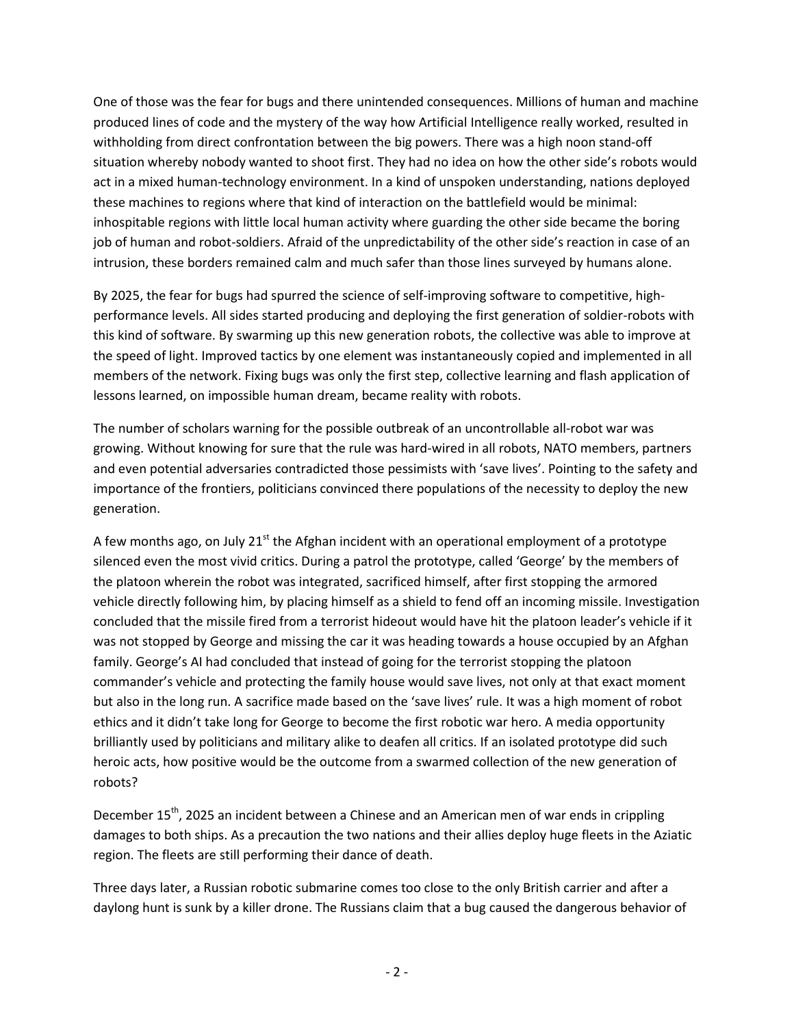One of those was the fear for bugs and there unintended consequences. Millions of human and machine produced lines of code and the mystery of the way how Artificial Intelligence really worked, resulted in withholding from direct confrontation between the big powers. There was a high noon stand-off situation whereby nobody wanted to shoot first. They had no idea on how the other side's robots would act in a mixed human-technology environment. In a kind of unspoken understanding, nations deployed these machines to regions where that kind of interaction on the battlefield would be minimal: inhospitable regions with little local human activity where guarding the other side became the boring job of human and robot-soldiers. Afraid of the unpredictability of the other side's reaction in case of an intrusion, these borders remained calm and much safer than those lines surveyed by humans alone.

By 2025, the fear for bugs had spurred the science of self-improving software to competitive, highperformance levels. All sides started producing and deploying the first generation of soldier-robots with this kind of software. By swarming up this new generation robots, the collective was able to improve at the speed of light. Improved tactics by one element was instantaneously copied and implemented in all members of the network. Fixing bugs was only the first step, collective learning and flash application of lessons learned, on impossible human dream, became reality with robots.

The number of scholars warning for the possible outbreak of an uncontrollable all-robot war was growing. Without knowing for sure that the rule was hard-wired in all robots, NATO members, partners and even potential adversaries contradicted those pessimists with 'save lives'. Pointing to the safety and importance of the frontiers, politicians convinced there populations of the necessity to deploy the new generation.

A few months ago, on July  $21<sup>st</sup>$  the Afghan incident with an operational employment of a prototype silenced even the most vivid critics. During a patrol the prototype, called 'George' by the members of the platoon wherein the robot was integrated, sacrificed himself, after first stopping the armored vehicle directly following him, by placing himself as a shield to fend off an incoming missile. Investigation concluded that the missile fired from a terrorist hideout would have hit the platoon leader's vehicle if it was not stopped by George and missing the car it was heading towards a house occupied by an Afghan family. George's AI had concluded that instead of going for the terrorist stopping the platoon commander's vehicle and protecting the family house would save lives, not only at that exact moment but also in the long run. A sacrifice made based on the 'save lives' rule. It was a high moment of robot ethics and it didn't take long for George to become the first robotic war hero. A media opportunity brilliantly used by politicians and military alike to deafen all critics. If an isolated prototype did such heroic acts, how positive would be the outcome from a swarmed collection of the new generation of robots?

December 15<sup>th</sup>, 2025 an incident between a Chinese and an American men of war ends in crippling damages to both ships. As a precaution the two nations and their allies deploy huge fleets in the Aziatic region. The fleets are still performing their dance of death.

Three days later, a Russian robotic submarine comes too close to the only British carrier and after a daylong hunt is sunk by a killer drone. The Russians claim that a bug caused the dangerous behavior of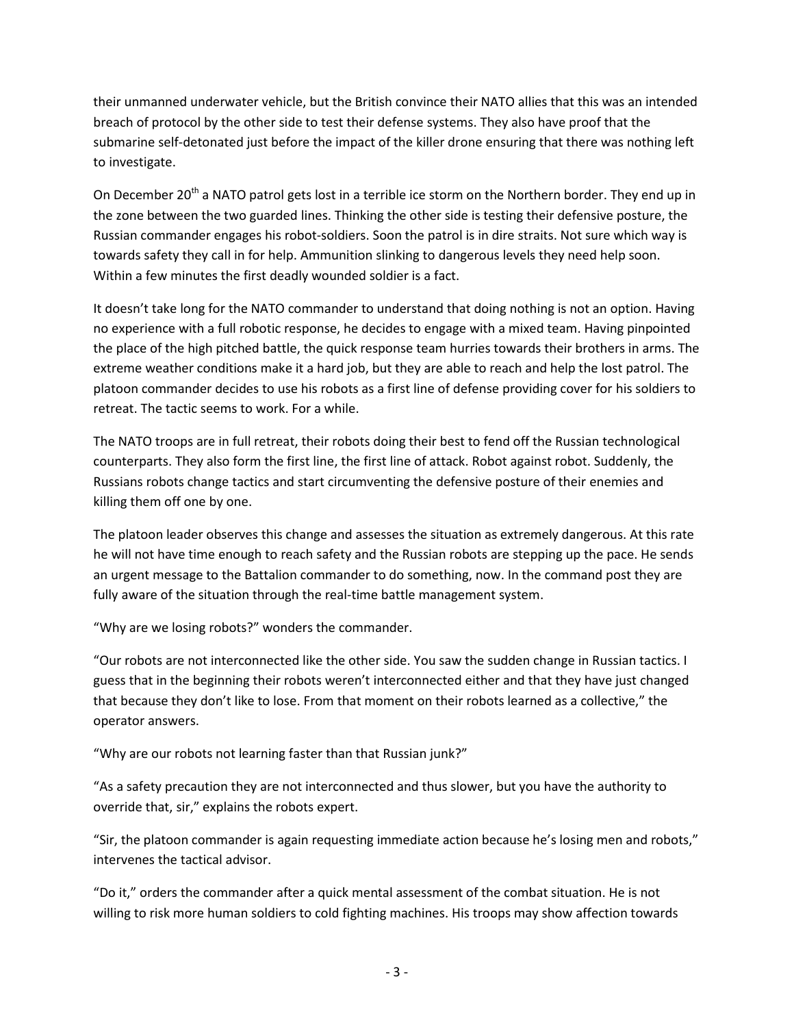their unmanned underwater vehicle, but the British convince their NATO allies that this was an intended breach of protocol by the other side to test their defense systems. They also have proof that the submarine self-detonated just before the impact of the killer drone ensuring that there was nothing left to investigate.

On December 20<sup>th</sup> a NATO patrol gets lost in a terrible ice storm on the Northern border. They end up in the zone between the two guarded lines. Thinking the other side is testing their defensive posture, the Russian commander engages his robot-soldiers. Soon the patrol is in dire straits. Not sure which way is towards safety they call in for help. Ammunition slinking to dangerous levels they need help soon. Within a few minutes the first deadly wounded soldier is a fact.

It doesn't take long for the NATO commander to understand that doing nothing is not an option. Having no experience with a full robotic response, he decides to engage with a mixed team. Having pinpointed the place of the high pitched battle, the quick response team hurries towards their brothers in arms. The extreme weather conditions make it a hard job, but they are able to reach and help the lost patrol. The platoon commander decides to use his robots as a first line of defense providing cover for his soldiers to retreat. The tactic seems to work. For a while.

The NATO troops are in full retreat, their robots doing their best to fend off the Russian technological counterparts. They also form the first line, the first line of attack. Robot against robot. Suddenly, the Russians robots change tactics and start circumventing the defensive posture of their enemies and killing them off one by one.

The platoon leader observes this change and assesses the situation as extremely dangerous. At this rate he will not have time enough to reach safety and the Russian robots are stepping up the pace. He sends an urgent message to the Battalion commander to do something, now. In the command post they are fully aware of the situation through the real-time battle management system.

"Why are we losing robots?" wonders the commander.

"Our robots are not interconnected like the other side. You saw the sudden change in Russian tactics. I guess that in the beginning their robots weren't interconnected either and that they have just changed that because they don't like to lose. From that moment on their robots learned as a collective," the operator answers.

"Why are our robots not learning faster than that Russian junk?"

"As a safety precaution they are not interconnected and thus slower, but you have the authority to override that, sir," explains the robots expert.

"Sir, the platoon commander is again requesting immediate action because he's losing men and robots," intervenes the tactical advisor.

"Do it," orders the commander after a quick mental assessment of the combat situation. He is not willing to risk more human soldiers to cold fighting machines. His troops may show affection towards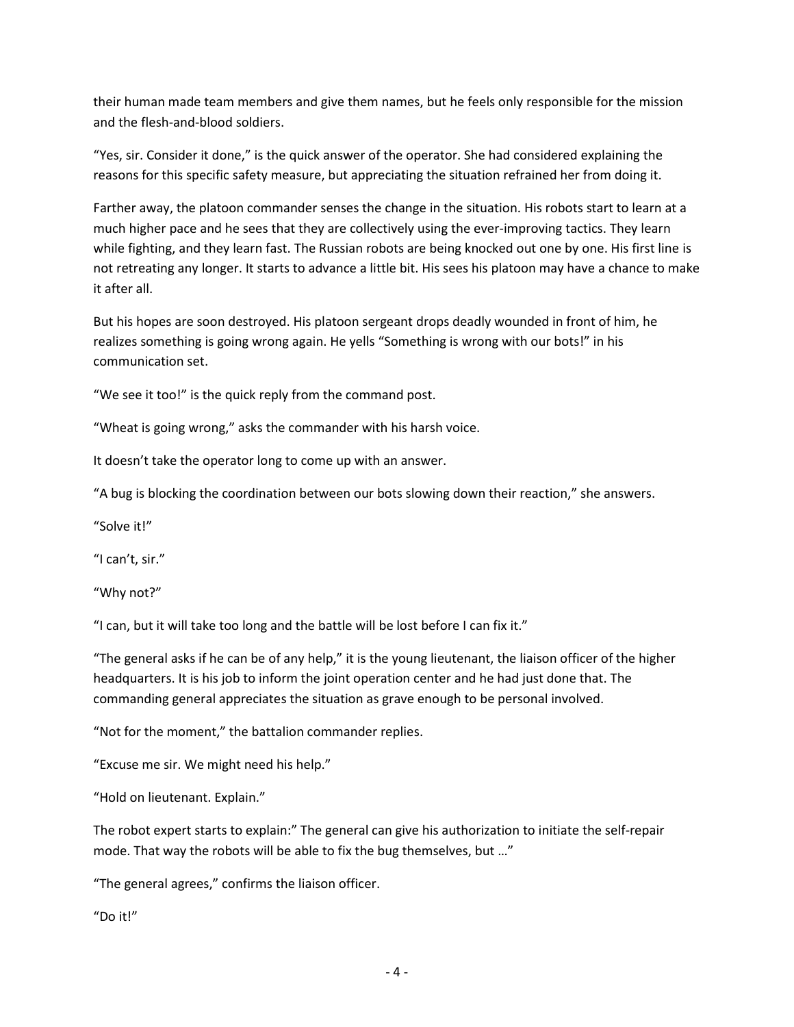their human made team members and give them names, but he feels only responsible for the mission and the flesh-and-blood soldiers.

"Yes, sir. Consider it done," is the quick answer of the operator. She had considered explaining the reasons for this specific safety measure, but appreciating the situation refrained her from doing it.

Farther away, the platoon commander senses the change in the situation. His robots start to learn at a much higher pace and he sees that they are collectively using the ever-improving tactics. They learn while fighting, and they learn fast. The Russian robots are being knocked out one by one. His first line is not retreating any longer. It starts to advance a little bit. His sees his platoon may have a chance to make it after all.

But his hopes are soon destroyed. His platoon sergeant drops deadly wounded in front of him, he realizes something is going wrong again. He yells "Something is wrong with our bots!" in his communication set.

"We see it too!" is the quick reply from the command post.

"Wheat is going wrong," asks the commander with his harsh voice.

It doesn't take the operator long to come up with an answer.

"A bug is blocking the coordination between our bots slowing down their reaction," she answers.

"Solve it!"

"I can't, sir."

"Why not?"

"I can, but it will take too long and the battle will be lost before I can fix it."

"The general asks if he can be of any help," it is the young lieutenant, the liaison officer of the higher headquarters. It is his job to inform the joint operation center and he had just done that. The commanding general appreciates the situation as grave enough to be personal involved.

"Not for the moment," the battalion commander replies.

"Excuse me sir. We might need his help."

"Hold on lieutenant. Explain."

The robot expert starts to explain:" The general can give his authorization to initiate the self-repair mode. That way the robots will be able to fix the bug themselves, but …"

"The general agrees," confirms the liaison officer.

"Do it!"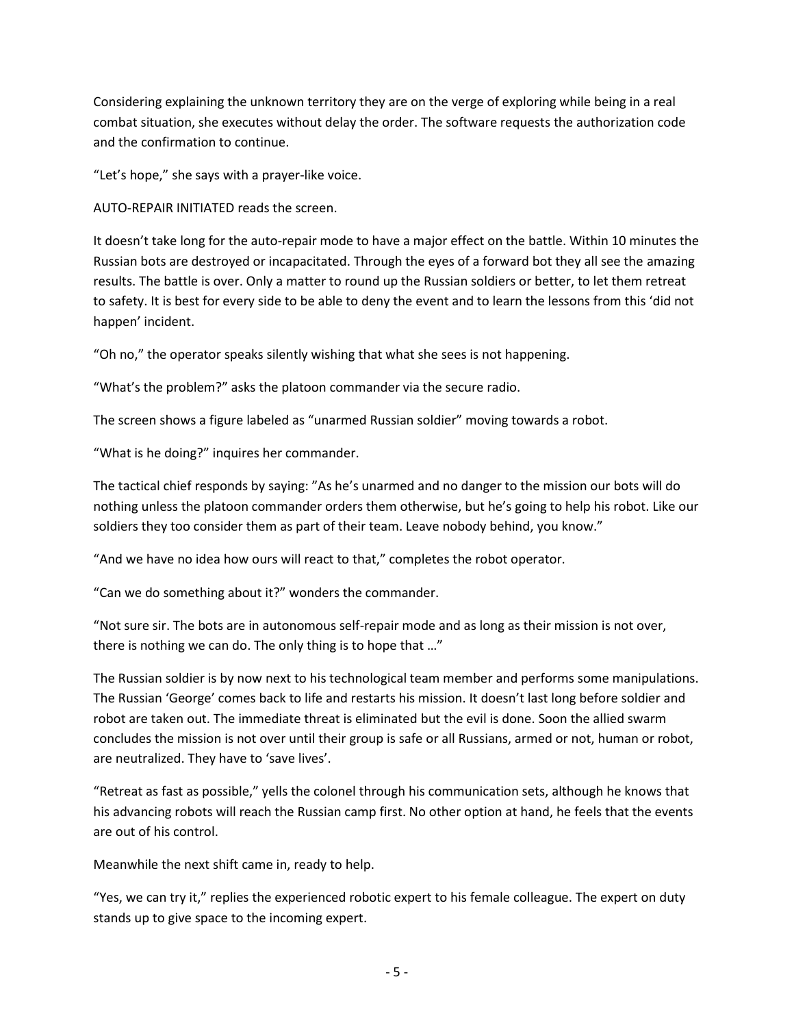Considering explaining the unknown territory they are on the verge of exploring while being in a real combat situation, she executes without delay the order. The software requests the authorization code and the confirmation to continue.

"Let's hope," she says with a prayer-like voice.

AUTO-REPAIR INITIATED reads the screen.

It doesn't take long for the auto-repair mode to have a major effect on the battle. Within 10 minutes the Russian bots are destroyed or incapacitated. Through the eyes of a forward bot they all see the amazing results. The battle is over. Only a matter to round up the Russian soldiers or better, to let them retreat to safety. It is best for every side to be able to deny the event and to learn the lessons from this 'did not happen' incident.

"Oh no," the operator speaks silently wishing that what she sees is not happening.

"What's the problem?" asks the platoon commander via the secure radio.

The screen shows a figure labeled as "unarmed Russian soldier" moving towards a robot.

"What is he doing?" inquires her commander.

The tactical chief responds by saying: "As he's unarmed and no danger to the mission our bots will do nothing unless the platoon commander orders them otherwise, but he's going to help his robot. Like our soldiers they too consider them as part of their team. Leave nobody behind, you know."

"And we have no idea how ours will react to that," completes the robot operator.

"Can we do something about it?" wonders the commander.

"Not sure sir. The bots are in autonomous self-repair mode and as long as their mission is not over, there is nothing we can do. The only thing is to hope that …"

The Russian soldier is by now next to his technological team member and performs some manipulations. The Russian 'George' comes back to life and restarts his mission. It doesn't last long before soldier and robot are taken out. The immediate threat is eliminated but the evil is done. Soon the allied swarm concludes the mission is not over until their group is safe or all Russians, armed or not, human or robot, are neutralized. They have to 'save lives'.

"Retreat as fast as possible," yells the colonel through his communication sets, although he knows that his advancing robots will reach the Russian camp first. No other option at hand, he feels that the events are out of his control.

Meanwhile the next shift came in, ready to help.

"Yes, we can try it," replies the experienced robotic expert to his female colleague. The expert on duty stands up to give space to the incoming expert.